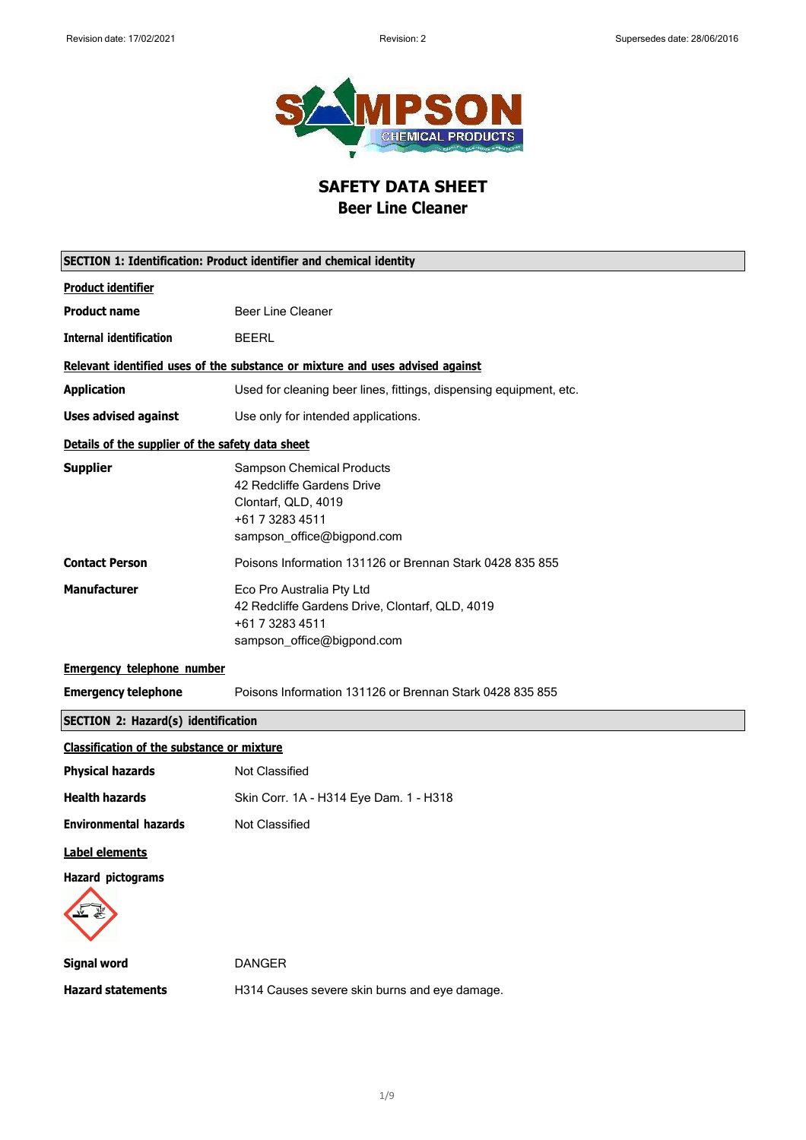

**SAFETY DATA SHEET Beer Line Cleaner**

<span id="page-0-0"></span>

|                                                   | <b>SECTION 1: Identification: Product identifier and chemical identity</b>                                                             |
|---------------------------------------------------|----------------------------------------------------------------------------------------------------------------------------------------|
| <b>Product identifier</b>                         |                                                                                                                                        |
| <b>Product name</b>                               | <b>Beer Line Cleaner</b>                                                                                                               |
| <b>Internal identification</b>                    | <b>BEERL</b>                                                                                                                           |
|                                                   | Relevant identified uses of the substance or mixture and uses advised against                                                          |
| <b>Application</b>                                | Used for cleaning beer lines, fittings, dispensing equipment, etc.                                                                     |
| <b>Uses advised against</b>                       | Use only for intended applications.                                                                                                    |
| Details of the supplier of the safety data sheet  |                                                                                                                                        |
| <b>Supplier</b>                                   | <b>Sampson Chemical Products</b><br>42 Redcliffe Gardens Drive<br>Clontarf, QLD, 4019<br>+61 7 3283 4511<br>sampson_office@bigpond.com |
| <b>Contact Person</b>                             | Poisons Information 131126 or Brennan Stark 0428 835 855                                                                               |
| <b>Manufacturer</b>                               | Eco Pro Australia Pty Ltd<br>42 Redcliffe Gardens Drive, Clontarf, QLD, 4019<br>+61 7 3283 4511<br>sampson_office@bigpond.com          |
| <b>Emergency telephone number</b>                 |                                                                                                                                        |
| <b>Emergency telephone</b>                        | Poisons Information 131126 or Brennan Stark 0428 835 855                                                                               |
| <b>SECTION 2: Hazard(s) identification</b>        |                                                                                                                                        |
| <b>Classification of the substance or mixture</b> |                                                                                                                                        |
| <b>Physical hazards</b>                           | Not Classified                                                                                                                         |
| <b>Health hazards</b>                             | Skin Corr. 1A - H314 Eye Dam. 1 - H318                                                                                                 |
| <b>Environmental hazards</b>                      | <b>Not Classified</b>                                                                                                                  |
| Label elements                                    |                                                                                                                                        |
| <b>Hazard pictograms</b>                          |                                                                                                                                        |
| <b>Signal word</b>                                | <b>DANGER</b>                                                                                                                          |
| <b>Hazard statements</b>                          | H314 Causes severe skin burns and eye damage.                                                                                          |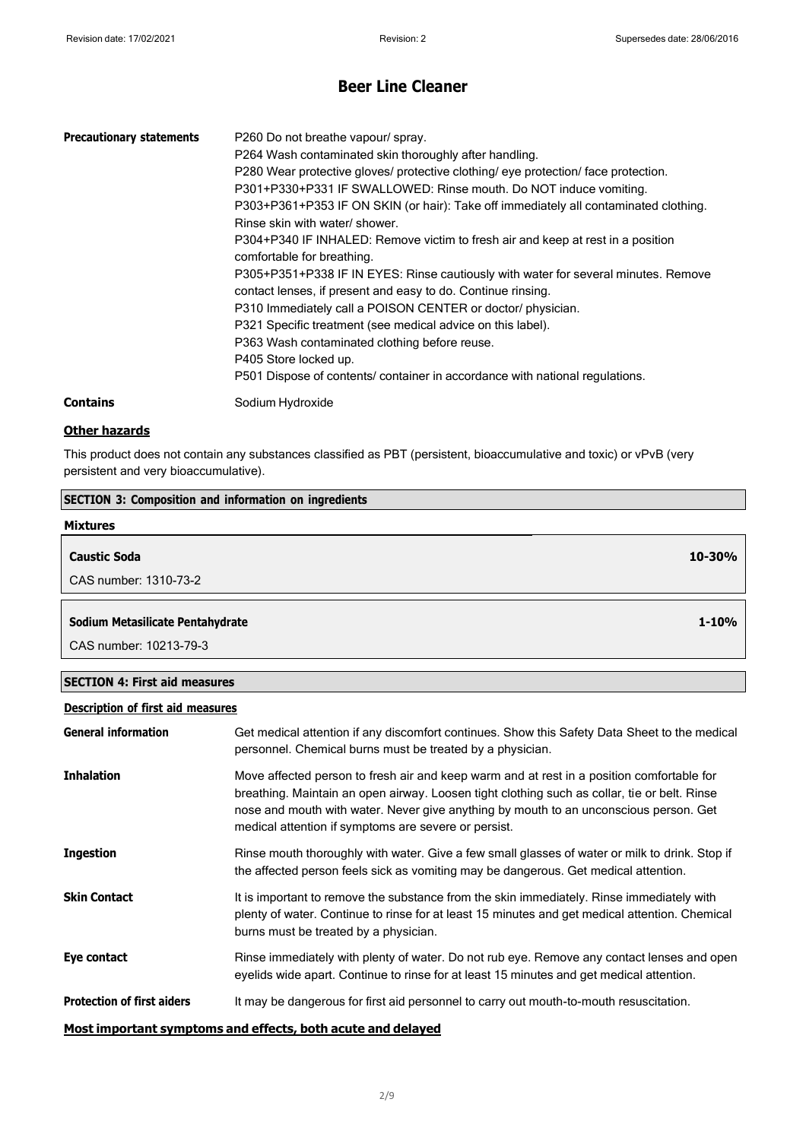| <b>Precautionary statements</b> | P260 Do not breathe vapour/ spray.<br>P264 Wash contaminated skin thoroughly after handling.<br>P280 Wear protective gloves/ protective clothing/ eye protection/ face protection.<br>P301+P330+P331 IF SWALLOWED: Rinse mouth. Do NOT induce vomiting.<br>P303+P361+P353 IF ON SKIN (or hair): Take off immediately all contaminated clothing.<br>Rinse skin with water/ shower.<br>P304+P340 IF INHALED: Remove victim to fresh air and keep at rest in a position<br>comfortable for breathing.<br>P305+P351+P338 IF IN EYES: Rinse cautiously with water for several minutes. Remove<br>contact lenses, if present and easy to do. Continue rinsing.<br>P310 Immediately call a POISON CENTER or doctor/ physician.<br>P321 Specific treatment (see medical advice on this label).<br>P363 Wash contaminated clothing before reuse.<br>P405 Store locked up.<br>P501 Dispose of contents/ container in accordance with national regulations. |
|---------------------------------|--------------------------------------------------------------------------------------------------------------------------------------------------------------------------------------------------------------------------------------------------------------------------------------------------------------------------------------------------------------------------------------------------------------------------------------------------------------------------------------------------------------------------------------------------------------------------------------------------------------------------------------------------------------------------------------------------------------------------------------------------------------------------------------------------------------------------------------------------------------------------------------------------------------------------------------------------|
| <b>Contains</b>                 | Sodium Hydroxide                                                                                                                                                                                                                                                                                                                                                                                                                                                                                                                                                                                                                                                                                                                                                                                                                                                                                                                                 |

### **Other hazards**

This product does not contain any substances classified as PBT (persistent, bioaccumulative and toxic) or vPvB (very persistent and very bioaccumulative).

| <b>SECTION 3: Composition and information on ingredients</b> |            |
|--------------------------------------------------------------|------------|
| <b>Mixtures</b>                                              |            |
| <b>Caustic Soda</b>                                          | $10 - 30%$ |
| CAS number: 1310-73-2                                        |            |
| Sodium Metasilicate Pentahydrate                             | $1 - 10%$  |

CAS number: 10213-79-3

#### **SECTION 4: First aid measures**

### **Description of first aid measures**

| <b>General information</b>        | Get medical attention if any discomfort continues. Show this Safety Data Sheet to the medical<br>personnel. Chemical burns must be treated by a physician.                                                                                                                                                                                 |
|-----------------------------------|--------------------------------------------------------------------------------------------------------------------------------------------------------------------------------------------------------------------------------------------------------------------------------------------------------------------------------------------|
| <b>Inhalation</b>                 | Move affected person to fresh air and keep warm and at rest in a position comfortable for<br>breathing. Maintain an open airway. Loosen tight clothing such as collar, tie or belt. Rinse<br>nose and mouth with water. Never give anything by mouth to an unconscious person. Get<br>medical attention if symptoms are severe or persist. |
| <b>Ingestion</b>                  | Rinse mouth thoroughly with water. Give a few small glasses of water or milk to drink. Stop if<br>the affected person feels sick as vomiting may be dangerous. Get medical attention.                                                                                                                                                      |
| <b>Skin Contact</b>               | It is important to remove the substance from the skin immediately. Rinse immediately with<br>plenty of water. Continue to rinse for at least 15 minutes and get medical attention. Chemical<br>burns must be treated by a physician.                                                                                                       |
| Eye contact                       | Rinse immediately with plenty of water. Do not rub eye. Remove any contact lenses and open<br>eyelids wide apart. Continue to rinse for at least 15 minutes and get medical attention.                                                                                                                                                     |
| <b>Protection of first aiders</b> | It may be dangerous for first aid personnel to carry out mouth-to-mouth resuscitation.                                                                                                                                                                                                                                                     |
|                                   | Most important symptoms and effects, both acute and delayed                                                                                                                                                                                                                                                                                |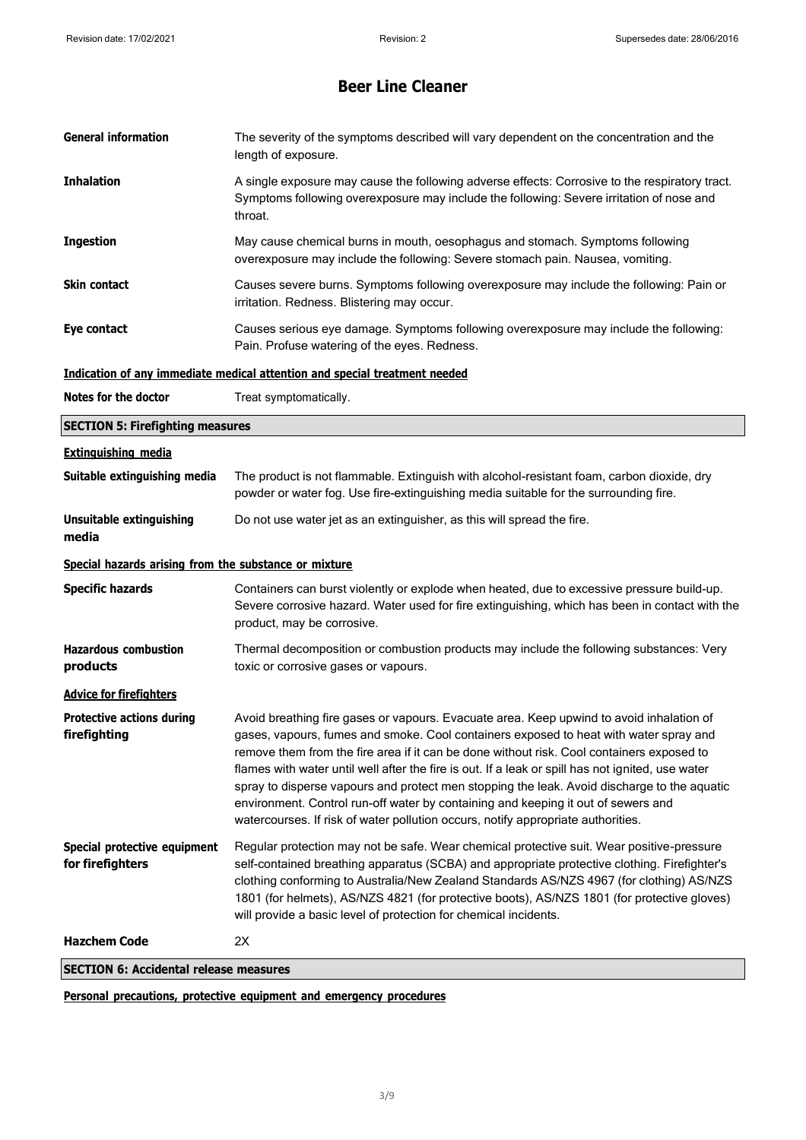| <b>General information</b>                            | The severity of the symptoms described will vary dependent on the concentration and the<br>length of exposure.                                                                                                                                                                                                                                                                                                                                                                                                                                                                                                                                              |
|-------------------------------------------------------|-------------------------------------------------------------------------------------------------------------------------------------------------------------------------------------------------------------------------------------------------------------------------------------------------------------------------------------------------------------------------------------------------------------------------------------------------------------------------------------------------------------------------------------------------------------------------------------------------------------------------------------------------------------|
| <b>Inhalation</b>                                     | A single exposure may cause the following adverse effects: Corrosive to the respiratory tract.<br>Symptoms following overexposure may include the following: Severe irritation of nose and<br>throat.                                                                                                                                                                                                                                                                                                                                                                                                                                                       |
| <b>Ingestion</b>                                      | May cause chemical burns in mouth, oesophagus and stomach. Symptoms following<br>overexposure may include the following: Severe stomach pain. Nausea, vomiting.                                                                                                                                                                                                                                                                                                                                                                                                                                                                                             |
| Skin contact                                          | Causes severe burns. Symptoms following overexposure may include the following: Pain or<br>irritation. Redness. Blistering may occur.                                                                                                                                                                                                                                                                                                                                                                                                                                                                                                                       |
| Eye contact                                           | Causes serious eye damage. Symptoms following overexposure may include the following:<br>Pain. Profuse watering of the eyes. Redness.                                                                                                                                                                                                                                                                                                                                                                                                                                                                                                                       |
|                                                       | Indication of any immediate medical attention and special treatment needed                                                                                                                                                                                                                                                                                                                                                                                                                                                                                                                                                                                  |
| Notes for the doctor                                  | Treat symptomatically.                                                                                                                                                                                                                                                                                                                                                                                                                                                                                                                                                                                                                                      |
| <b>SECTION 5: Firefighting measures</b>               |                                                                                                                                                                                                                                                                                                                                                                                                                                                                                                                                                                                                                                                             |
| <b>Extinguishing media</b>                            |                                                                                                                                                                                                                                                                                                                                                                                                                                                                                                                                                                                                                                                             |
| Suitable extinguishing media                          | The product is not flammable. Extinguish with alcohol-resistant foam, carbon dioxide, dry<br>powder or water fog. Use fire-extinguishing media suitable for the surrounding fire.                                                                                                                                                                                                                                                                                                                                                                                                                                                                           |
| <b>Unsuitable extinguishing</b><br>media              | Do not use water jet as an extinguisher, as this will spread the fire.                                                                                                                                                                                                                                                                                                                                                                                                                                                                                                                                                                                      |
| Special hazards arising from the substance or mixture |                                                                                                                                                                                                                                                                                                                                                                                                                                                                                                                                                                                                                                                             |
| <b>Specific hazards</b>                               | Containers can burst violently or explode when heated, due to excessive pressure build-up.<br>Severe corrosive hazard. Water used for fire extinguishing, which has been in contact with the<br>product, may be corrosive.                                                                                                                                                                                                                                                                                                                                                                                                                                  |
| <b>Hazardous combustion</b><br>products               | Thermal decomposition or combustion products may include the following substances: Very<br>toxic or corrosive gases or vapours.                                                                                                                                                                                                                                                                                                                                                                                                                                                                                                                             |
| <b>Advice for firefighters</b>                        |                                                                                                                                                                                                                                                                                                                                                                                                                                                                                                                                                                                                                                                             |
| <b>Protective actions during</b><br>firefighting      | Avoid breathing fire gases or vapours. Evacuate area. Keep upwind to avoid inhalation of<br>gases, vapours, fumes and smoke. Cool containers exposed to heat with water spray and<br>remove them from the fire area if it can be done without risk. Cool containers exposed to<br>flames with water until well after the fire is out. If a leak or spill has not ignited, use water<br>spray to disperse vapours and protect men stopping the leak. Avoid discharge to the aquatic<br>environment. Control run-off water by containing and keeping it out of sewers and<br>watercourses. If risk of water pollution occurs, notify appropriate authorities. |
| Special protective equipment<br>for firefighters      | Regular protection may not be safe. Wear chemical protective suit. Wear positive-pressure<br>self-contained breathing apparatus (SCBA) and appropriate protective clothing. Firefighter's<br>clothing conforming to Australia/New Zealand Standards AS/NZS 4967 (for clothing) AS/NZS<br>1801 (for helmets), AS/NZS 4821 (for protective boots), AS/NZS 1801 (for protective gloves)<br>will provide a basic level of protection for chemical incidents.                                                                                                                                                                                                    |
| <b>Hazchem Code</b>                                   | 2X                                                                                                                                                                                                                                                                                                                                                                                                                                                                                                                                                                                                                                                          |
| <b>SECTION 6: Accidental release measures</b>         |                                                                                                                                                                                                                                                                                                                                                                                                                                                                                                                                                                                                                                                             |

**Personal precautions, protective equipment and emergency procedures**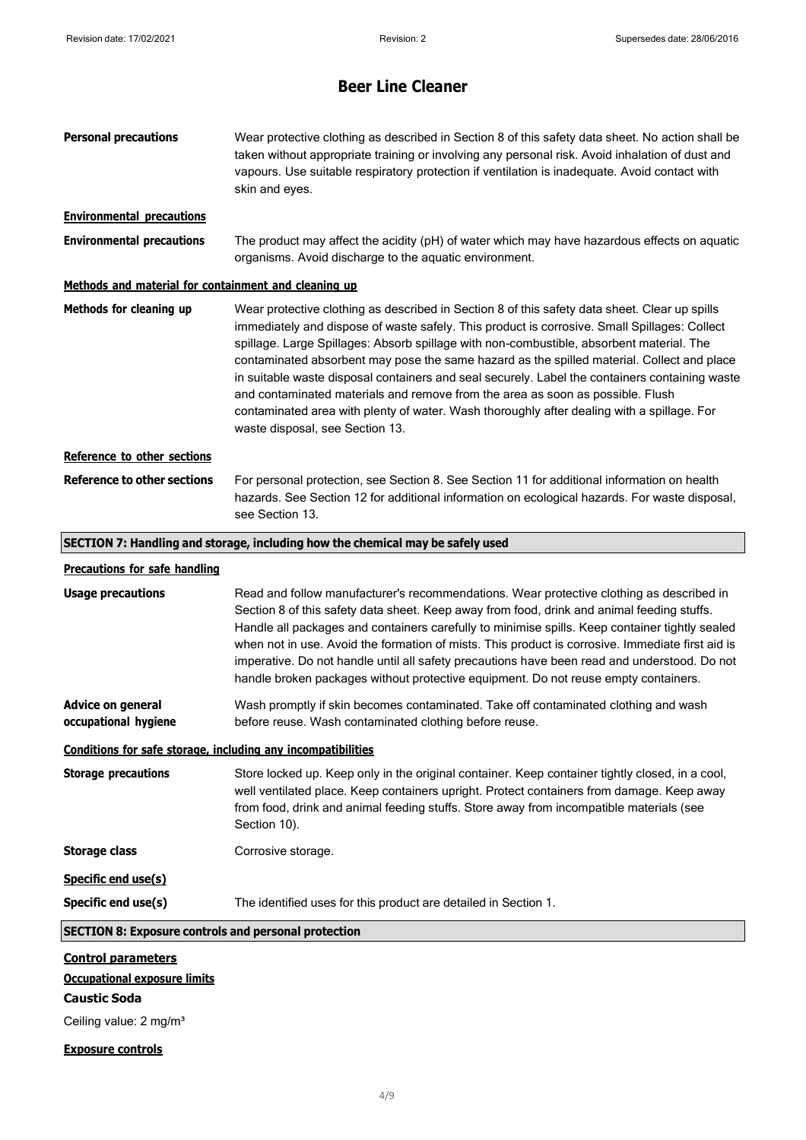| <b>Personal precautions</b>                                                                                                   | Wear protective clothing as described in Section 8 of this safety data sheet. No action shall be<br>taken without appropriate training or involving any personal risk. Avoid inhalation of dust and<br>vapours. Use suitable respiratory protection if ventilation is inadequate. Avoid contact with<br>skin and eyes.                                                                                                                                                                                                                                                                                                                                                                                       |
|-------------------------------------------------------------------------------------------------------------------------------|--------------------------------------------------------------------------------------------------------------------------------------------------------------------------------------------------------------------------------------------------------------------------------------------------------------------------------------------------------------------------------------------------------------------------------------------------------------------------------------------------------------------------------------------------------------------------------------------------------------------------------------------------------------------------------------------------------------|
| <b>Environmental precautions</b>                                                                                              |                                                                                                                                                                                                                                                                                                                                                                                                                                                                                                                                                                                                                                                                                                              |
| <b>Environmental precautions</b>                                                                                              | The product may affect the acidity (pH) of water which may have hazardous effects on aquatic<br>organisms. Avoid discharge to the aquatic environment.                                                                                                                                                                                                                                                                                                                                                                                                                                                                                                                                                       |
| Methods and material for containment and cleaning up                                                                          |                                                                                                                                                                                                                                                                                                                                                                                                                                                                                                                                                                                                                                                                                                              |
| Methods for cleaning up                                                                                                       | Wear protective clothing as described in Section 8 of this safety data sheet. Clear up spills<br>immediately and dispose of waste safely. This product is corrosive. Small Spillages: Collect<br>spillage. Large Spillages: Absorb spillage with non-combustible, absorbent material. The<br>contaminated absorbent may pose the same hazard as the spilled material. Collect and place<br>in suitable waste disposal containers and seal securely. Label the containers containing waste<br>and contaminated materials and remove from the area as soon as possible. Flush<br>contaminated area with plenty of water. Wash thoroughly after dealing with a spillage. For<br>waste disposal, see Section 13. |
| Reference to other sections                                                                                                   |                                                                                                                                                                                                                                                                                                                                                                                                                                                                                                                                                                                                                                                                                                              |
| <b>Reference to other sections</b>                                                                                            | For personal protection, see Section 8. See Section 11 for additional information on health<br>hazards. See Section 12 for additional information on ecological hazards. For waste disposal,<br>see Section 13.                                                                                                                                                                                                                                                                                                                                                                                                                                                                                              |
|                                                                                                                               | SECTION 7: Handling and storage, including how the chemical may be safely used                                                                                                                                                                                                                                                                                                                                                                                                                                                                                                                                                                                                                               |
| <b>Precautions for safe handling</b>                                                                                          |                                                                                                                                                                                                                                                                                                                                                                                                                                                                                                                                                                                                                                                                                                              |
| <b>Usage precautions</b>                                                                                                      | Read and follow manufacturer's recommendations. Wear protective clothing as described in<br>Section 8 of this safety data sheet. Keep away from food, drink and animal feeding stuffs.<br>Handle all packages and containers carefully to minimise spills. Keep container tightly sealed<br>when not in use. Avoid the formation of mists. This product is corrosive. Immediate first aid is<br>imperative. Do not handle until all safety precautions have been read and understood. Do not<br>handle broken packages without protective equipment. Do not reuse empty containers.                                                                                                                          |
| Advice on general<br>occupational hygiene                                                                                     | Wash promptly if skin becomes contaminated. Take off contaminated clothing and wash<br>before reuse. Wash contaminated clothing before reuse.                                                                                                                                                                                                                                                                                                                                                                                                                                                                                                                                                                |
| Conditions for safe storage, including any incompatibilities                                                                  |                                                                                                                                                                                                                                                                                                                                                                                                                                                                                                                                                                                                                                                                                                              |
| <b>Storage precautions</b>                                                                                                    | Store locked up. Keep only in the original container. Keep container tightly closed, in a cool,<br>well ventilated place. Keep containers upright. Protect containers from damage. Keep away<br>from food, drink and animal feeding stuffs. Store away from incompatible materials (see<br>Section 10).                                                                                                                                                                                                                                                                                                                                                                                                      |
| <b>Storage class</b>                                                                                                          | Corrosive storage.                                                                                                                                                                                                                                                                                                                                                                                                                                                                                                                                                                                                                                                                                           |
| Specific end use(s)                                                                                                           |                                                                                                                                                                                                                                                                                                                                                                                                                                                                                                                                                                                                                                                                                                              |
| Specific end use(s)                                                                                                           | The identified uses for this product are detailed in Section 1.                                                                                                                                                                                                                                                                                                                                                                                                                                                                                                                                                                                                                                              |
| <b>SECTION 8: Exposure controls and personal protection</b>                                                                   |                                                                                                                                                                                                                                                                                                                                                                                                                                                                                                                                                                                                                                                                                                              |
| <b>Control parameters</b><br><b>Occupational exposure limits</b><br><b>Caustic Soda</b><br>Ceiling value: 2 mg/m <sup>3</sup> |                                                                                                                                                                                                                                                                                                                                                                                                                                                                                                                                                                                                                                                                                                              |
| <b>Exposure controls</b>                                                                                                      |                                                                                                                                                                                                                                                                                                                                                                                                                                                                                                                                                                                                                                                                                                              |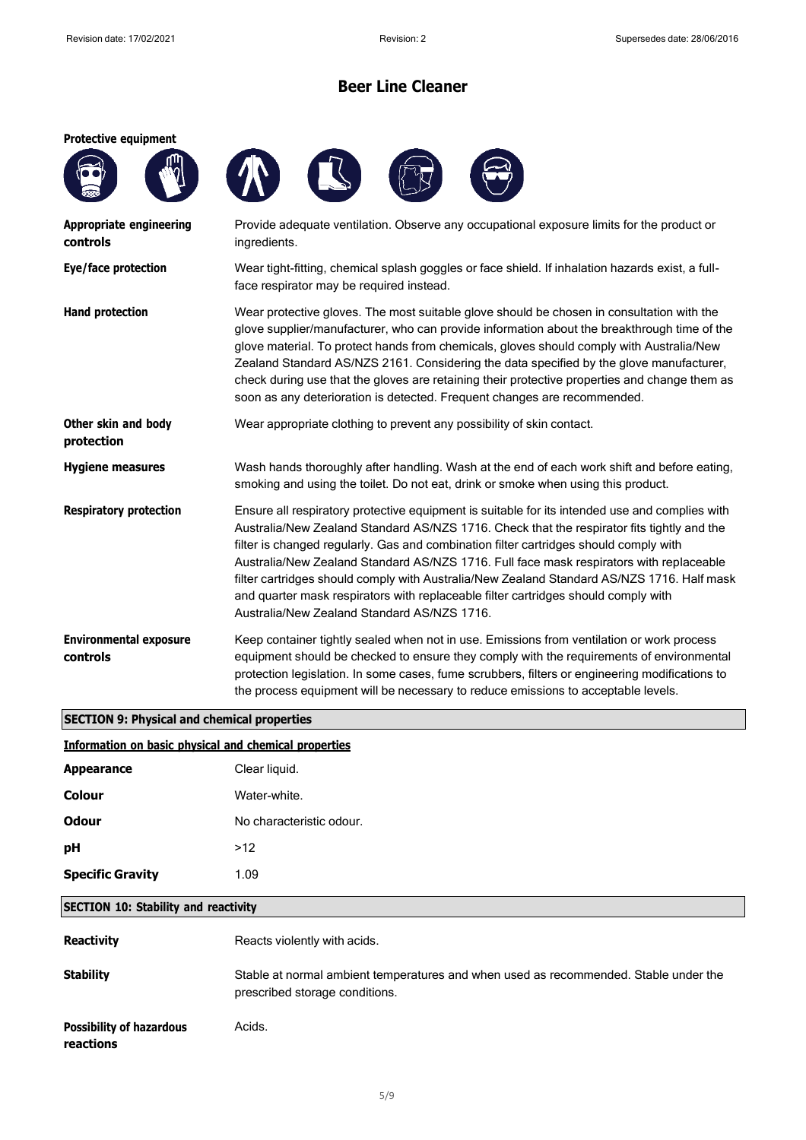### **Protective equipment**







| Appropriate engineering<br>controls       | Provide adequate ventilation. Observe any occupational exposure limits for the product or<br>ingredients.                                                                                                                                                                                                                                                                                                                                                                                                                                                                                                           |
|-------------------------------------------|---------------------------------------------------------------------------------------------------------------------------------------------------------------------------------------------------------------------------------------------------------------------------------------------------------------------------------------------------------------------------------------------------------------------------------------------------------------------------------------------------------------------------------------------------------------------------------------------------------------------|
| Eye/face protection                       | Wear tight-fitting, chemical splash goggles or face shield. If inhalation hazards exist, a full-<br>face respirator may be required instead.                                                                                                                                                                                                                                                                                                                                                                                                                                                                        |
| <b>Hand protection</b>                    | Wear protective gloves. The most suitable glove should be chosen in consultation with the<br>glove supplier/manufacturer, who can provide information about the breakthrough time of the<br>glove material. To protect hands from chemicals, gloves should comply with Australia/New<br>Zealand Standard AS/NZS 2161. Considering the data specified by the glove manufacturer,<br>check during use that the gloves are retaining their protective properties and change them as<br>soon as any deterioration is detected. Frequent changes are recommended.                                                        |
| Other skin and body<br>protection         | Wear appropriate clothing to prevent any possibility of skin contact.                                                                                                                                                                                                                                                                                                                                                                                                                                                                                                                                               |
| <b>Hygiene measures</b>                   | Wash hands thoroughly after handling. Wash at the end of each work shift and before eating,<br>smoking and using the toilet. Do not eat, drink or smoke when using this product.                                                                                                                                                                                                                                                                                                                                                                                                                                    |
| <b>Respiratory protection</b>             | Ensure all respiratory protective equipment is suitable for its intended use and complies with<br>Australia/New Zealand Standard AS/NZS 1716. Check that the respirator fits tightly and the<br>filter is changed regularly. Gas and combination filter cartridges should comply with<br>Australia/New Zealand Standard AS/NZS 1716. Full face mask respirators with replaceable<br>filter cartridges should comply with Australia/New Zealand Standard AS/NZS 1716. Half mask<br>and quarter mask respirators with replaceable filter cartridges should comply with<br>Australia/New Zealand Standard AS/NZS 1716. |
| <b>Environmental exposure</b><br>controls | Keep container tightly sealed when not in use. Emissions from ventilation or work process<br>equipment should be checked to ensure they comply with the requirements of environmental<br>protection legislation. In some cases, fume scrubbers, filters or engineering modifications to<br>the process equipment will be necessary to reduce emissions to acceptable levels.                                                                                                                                                                                                                                        |

### **SECTION 9: Physical and chemical properties**

### **Information on basic physical and chemical properties**

| <b>Appearance</b>       | Clear liquid.            |
|-------------------------|--------------------------|
| <b>Colour</b>           | Water-white.             |
| Odour                   | No characteristic odour. |
| рH                      | >12                      |
| <b>Specific Gravity</b> | 1.09                     |
|                         |                          |

### **SECTION 10: Stability and reactivity**

| <b>Reactivity</b>                            | Reacts violently with acids.                                                                                           |
|----------------------------------------------|------------------------------------------------------------------------------------------------------------------------|
| <b>Stability</b>                             | Stable at normal ambient temperatures and when used as recommended. Stable under the<br>prescribed storage conditions. |
| <b>Possibility of hazardous</b><br>reactions | Acids.                                                                                                                 |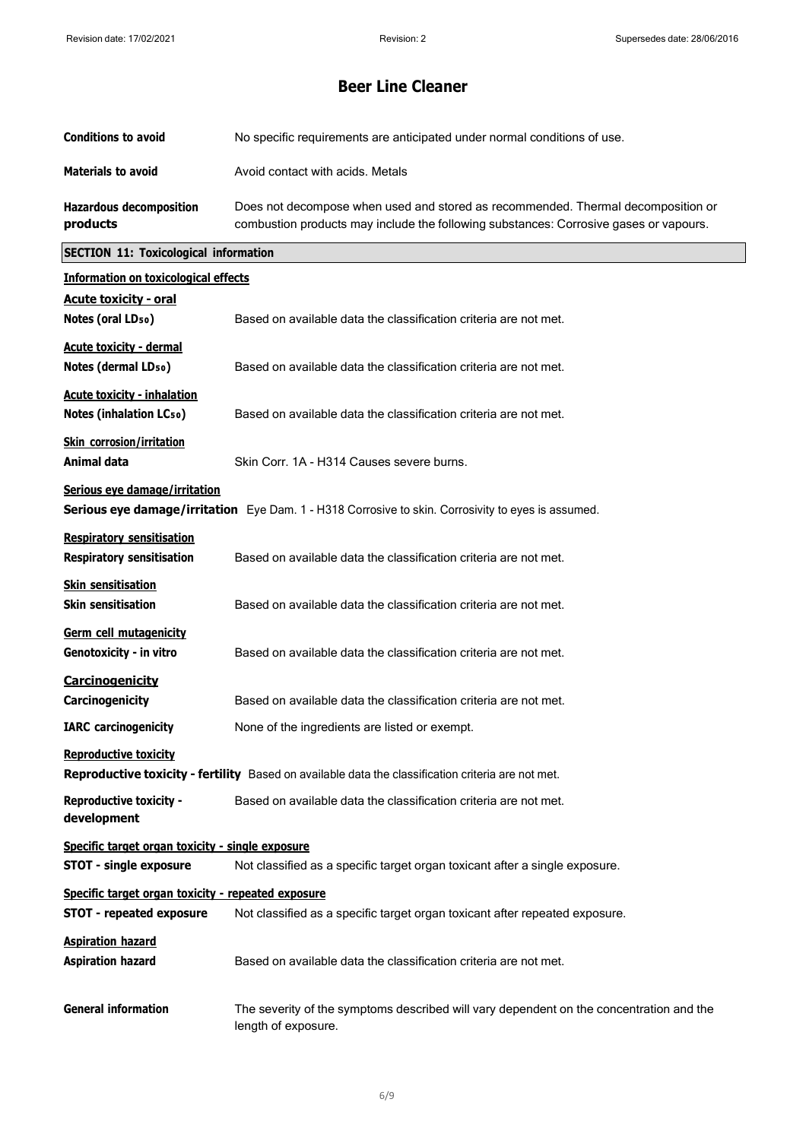| <b>Conditions to avoid</b>                                                                                                         | No specific requirements are anticipated under normal conditions of use.                                                                                                  |  |
|------------------------------------------------------------------------------------------------------------------------------------|---------------------------------------------------------------------------------------------------------------------------------------------------------------------------|--|
| <b>Materials to avoid</b>                                                                                                          | Avoid contact with acids. Metals                                                                                                                                          |  |
| <b>Hazardous decomposition</b><br>products                                                                                         | Does not decompose when used and stored as recommended. Thermal decomposition or<br>combustion products may include the following substances: Corrosive gases or vapours. |  |
| <b>SECTION 11: Toxicological information</b>                                                                                       |                                                                                                                                                                           |  |
| <b>Information on toxicological effects</b>                                                                                        |                                                                                                                                                                           |  |
| <b>Acute toxicity - oral</b><br>Notes (oral LD <sub>50</sub> )                                                                     | Based on available data the classification criteria are not met.                                                                                                          |  |
| <b>Acute toxicity - dermal</b><br>Notes (dermal LD <sub>50</sub> )                                                                 | Based on available data the classification criteria are not met.                                                                                                          |  |
| <b>Acute toxicity - inhalation</b><br><b>Notes (inhalation LCso)</b>                                                               | Based on available data the classification criteria are not met.                                                                                                          |  |
| <b>Skin corrosion/irritation</b><br><b>Animal data</b>                                                                             | Skin Corr. 1A - H314 Causes severe burns.                                                                                                                                 |  |
| Serious eye damage/irritation                                                                                                      | Serious eye damage/irritation Eye Dam. 1 - H318 Corrosive to skin. Corrosivity to eyes is assumed.                                                                        |  |
| <b>Respiratory sensitisation</b>                                                                                                   |                                                                                                                                                                           |  |
| <b>Respiratory sensitisation</b>                                                                                                   | Based on available data the classification criteria are not met.                                                                                                          |  |
| <b>Skin sensitisation</b><br><b>Skin sensitisation</b>                                                                             | Based on available data the classification criteria are not met.                                                                                                          |  |
| Germ cell mutagenicity<br>Genotoxicity - in vitro                                                                                  | Based on available data the classification criteria are not met.                                                                                                          |  |
| <b>Carcinogenicity</b><br>Carcinogenicity                                                                                          | Based on available data the classification criteria are not met.                                                                                                          |  |
| <b>IARC</b> carcinogenicity                                                                                                        | None of the ingredients are listed or exempt.                                                                                                                             |  |
| <b>Reproductive toxicity</b><br>Reproductive toxicity - fertility Based on available data the classification criteria are not met. |                                                                                                                                                                           |  |
| <b>Reproductive toxicity -</b><br>development                                                                                      | Based on available data the classification criteria are not met.                                                                                                          |  |
| Specific target organ toxicity - single exposure<br><b>STOT - single exposure</b>                                                  | Not classified as a specific target organ toxicant after a single exposure.                                                                                               |  |
| Specific target organ toxicity - repeated exposure                                                                                 |                                                                                                                                                                           |  |
| <b>STOT - repeated exposure</b>                                                                                                    | Not classified as a specific target organ toxicant after repeated exposure.                                                                                               |  |
| <b>Aspiration hazard</b><br><b>Aspiration hazard</b>                                                                               | Based on available data the classification criteria are not met.                                                                                                          |  |
| <b>General information</b>                                                                                                         | The severity of the symptoms described will vary dependent on the concentration and the<br>length of exposure.                                                            |  |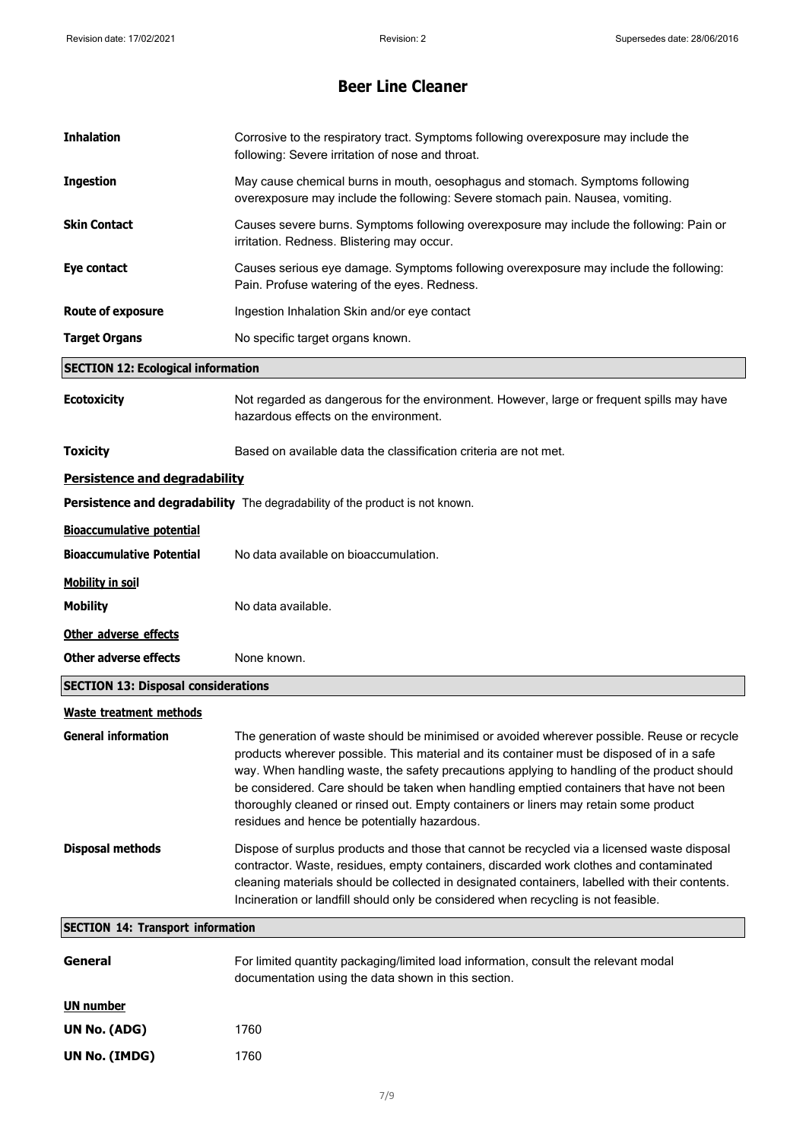| <b>Inhalation</b>                          | Corrosive to the respiratory tract. Symptoms following overexposure may include the<br>following: Severe irritation of nose and throat.                                                                                                                                                                                                                                                                                                                                                                                   |
|--------------------------------------------|---------------------------------------------------------------------------------------------------------------------------------------------------------------------------------------------------------------------------------------------------------------------------------------------------------------------------------------------------------------------------------------------------------------------------------------------------------------------------------------------------------------------------|
| <b>Ingestion</b>                           | May cause chemical burns in mouth, oesophagus and stomach. Symptoms following<br>overexposure may include the following: Severe stomach pain. Nausea, vomiting.                                                                                                                                                                                                                                                                                                                                                           |
| <b>Skin Contact</b>                        | Causes severe burns. Symptoms following overexposure may include the following: Pain or<br>irritation. Redness. Blistering may occur.                                                                                                                                                                                                                                                                                                                                                                                     |
| Eye contact                                | Causes serious eye damage. Symptoms following overexposure may include the following:<br>Pain. Profuse watering of the eyes. Redness.                                                                                                                                                                                                                                                                                                                                                                                     |
| <b>Route of exposure</b>                   | Ingestion Inhalation Skin and/or eye contact                                                                                                                                                                                                                                                                                                                                                                                                                                                                              |
| <b>Target Organs</b>                       | No specific target organs known.                                                                                                                                                                                                                                                                                                                                                                                                                                                                                          |
| <b>SECTION 12: Ecological information</b>  |                                                                                                                                                                                                                                                                                                                                                                                                                                                                                                                           |
| <b>Ecotoxicity</b>                         | Not regarded as dangerous for the environment. However, large or frequent spills may have<br>hazardous effects on the environment.                                                                                                                                                                                                                                                                                                                                                                                        |
| <b>Toxicity</b>                            | Based on available data the classification criteria are not met.                                                                                                                                                                                                                                                                                                                                                                                                                                                          |
| Persistence and degradability              |                                                                                                                                                                                                                                                                                                                                                                                                                                                                                                                           |
|                                            | Persistence and degradability The degradability of the product is not known.                                                                                                                                                                                                                                                                                                                                                                                                                                              |
| <b>Bioaccumulative potential</b>           |                                                                                                                                                                                                                                                                                                                                                                                                                                                                                                                           |
| <b>Bioaccumulative Potential</b>           | No data available on bioaccumulation.                                                                                                                                                                                                                                                                                                                                                                                                                                                                                     |
| <b>Mobility in soil</b>                    |                                                                                                                                                                                                                                                                                                                                                                                                                                                                                                                           |
| <b>Mobility</b>                            | No data available.                                                                                                                                                                                                                                                                                                                                                                                                                                                                                                        |
| Other adverse effects                      |                                                                                                                                                                                                                                                                                                                                                                                                                                                                                                                           |
| <b>Other adverse effects</b>               | None known.                                                                                                                                                                                                                                                                                                                                                                                                                                                                                                               |
| <b>SECTION 13: Disposal considerations</b> |                                                                                                                                                                                                                                                                                                                                                                                                                                                                                                                           |
| <b>Waste treatment methods</b>             |                                                                                                                                                                                                                                                                                                                                                                                                                                                                                                                           |
| <b>General information</b>                 | The generation of waste should be minimised or avoided wherever possible. Reuse or recycle<br>products wherever possible. This material and its container must be disposed of in a safe<br>way. When handling waste, the safety precautions applying to handling of the product should<br>be considered. Care should be taken when handling emptied containers that have not been<br>thoroughly cleaned or rinsed out. Empty containers or liners may retain some product<br>residues and hence be potentially hazardous. |
| <b>Disposal methods</b>                    | Dispose of surplus products and those that cannot be recycled via a licensed waste disposal<br>contractor. Waste, residues, empty containers, discarded work clothes and contaminated<br>cleaning materials should be collected in designated containers, labelled with their contents.<br>Incineration or landfill should only be considered when recycling is not feasible.                                                                                                                                             |
| <b>SECTION 14: Transport information</b>   |                                                                                                                                                                                                                                                                                                                                                                                                                                                                                                                           |
| General                                    | For limited quantity packaging/limited load information, consult the relevant modal<br>documentation using the data shown in this section.                                                                                                                                                                                                                                                                                                                                                                                |
| <b>UN number</b>                           |                                                                                                                                                                                                                                                                                                                                                                                                                                                                                                                           |
| UN No. (ADG)                               | 1760                                                                                                                                                                                                                                                                                                                                                                                                                                                                                                                      |
| UN No. (IMDG)                              | 1760                                                                                                                                                                                                                                                                                                                                                                                                                                                                                                                      |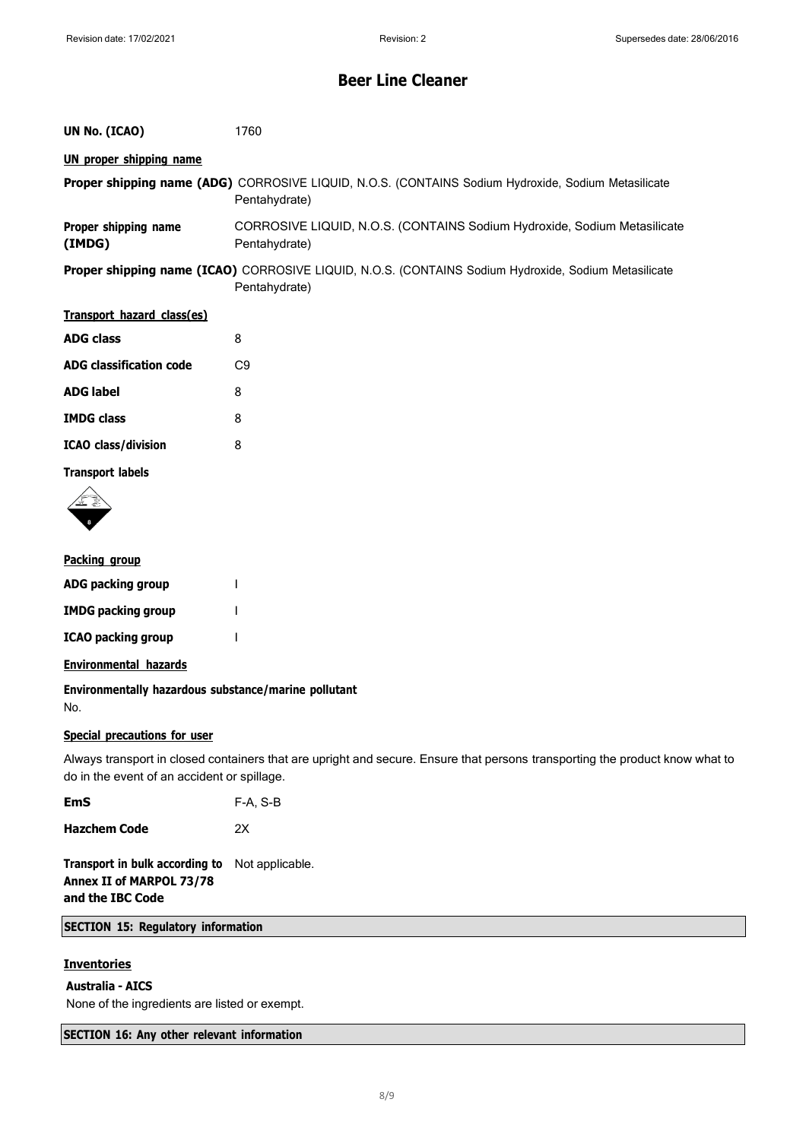| UN No. (ICAO)                  | 1760                                                                                                                         |
|--------------------------------|------------------------------------------------------------------------------------------------------------------------------|
| <b>UN proper shipping name</b> |                                                                                                                              |
|                                | Proper shipping name (ADG) CORROSIVE LIQUID, N.O.S. (CONTAINS Sodium Hydroxide, Sodium Metasilicate<br>Pentahydrate)         |
| Proper shipping name<br>(IMDG) | CORROSIVE LIQUID, N.O.S. (CONTAINS Sodium Hydroxide, Sodium Metasilicate<br>Pentahydrate)                                    |
|                                | <b>Proper shipping name (ICAO)</b> CORROSIVE LIQUID, N.O.S. (CONTAINS Sodium Hydroxide, Sodium Metasilicate<br>Pentahydrate) |
| Transport hazard class(es)     |                                                                                                                              |
| <b>ADG class</b>               | 8                                                                                                                            |
| <b>ADG classification code</b> | C9                                                                                                                           |

| <b>ADG label</b>           | 8 |
|----------------------------|---|
| <b>IMDG class</b>          | 8 |
| <b>ICAO</b> class/division | 8 |

**Transport labels**



### **Packing group**

| ADG packing group         |  |
|---------------------------|--|
| <b>IMDG packing group</b> |  |
| <b>ICAO packing group</b> |  |

### **Environmental hazards**

**Environmentally hazardous substance/marine pollutant** No.

### **Special precautions for user**

Always transport in closed containers that are upright and secure. Ensure that persons transporting the product know what to do in the event of an accident or spillage.

| <b>EmS</b>          | F-A, S-B |
|---------------------|----------|
| <b>Hazchem Code</b> | 2X       |

**Transport in bulk according to** Not applicable. **Annex II of MARPOL 73/78 and the IBC Code**

### **SECTION 15: Regulatory information**

### **Inventories**

**Australia - AICS**

None of the ingredients are listed or exempt.

### **SECTION 16: Any other relevant information**